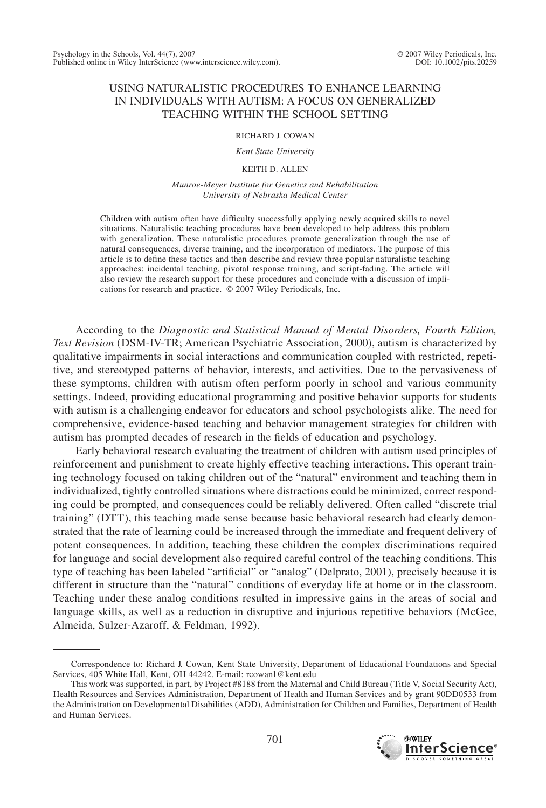# USING NATURALISTIC PROCEDURES TO ENHANCE LEARNING IN INDIVIDUALS WITH AUTISM: A FOCUS ON GENERALIZED TEACHING WITHIN THE SCHOOL SETTING

#### RICHARD J. COWAN

*Kent State University*

#### KEITH D. ALLEN

#### *Munroe-Meyer Institute for Genetics and Rehabilitation University of Nebraska Medical Center*

Children with autism often have difficulty successfully applying newly acquired skills to novel situations. Naturalistic teaching procedures have been developed to help address this problem with generalization. These naturalistic procedures promote generalization through the use of natural consequences, diverse training, and the incorporation of mediators. The purpose of this article is to define these tactics and then describe and review three popular naturalistic teaching approaches: incidental teaching, pivotal response training, and script-fading. The article will also review the research support for these procedures and conclude with a discussion of implications for research and practice. © 2007 Wiley Periodicals, Inc.

According to the *Diagnostic and Statistical Manual of Mental Disorders, Fourth Edition, Text Revision* (DSM-IV-TR; American Psychiatric Association, 2000), autism is characterized by qualitative impairments in social interactions and communication coupled with restricted, repetitive, and stereotyped patterns of behavior, interests, and activities. Due to the pervasiveness of these symptoms, children with autism often perform poorly in school and various community settings. Indeed, providing educational programming and positive behavior supports for students with autism is a challenging endeavor for educators and school psychologists alike. The need for comprehensive, evidence-based teaching and behavior management strategies for children with autism has prompted decades of research in the fields of education and psychology.

Early behavioral research evaluating the treatment of children with autism used principles of reinforcement and punishment to create highly effective teaching interactions. This operant training technology focused on taking children out of the "natural" environment and teaching them in individualized, tightly controlled situations where distractions could be minimized, correct responding could be prompted, and consequences could be reliably delivered. Often called "discrete trial training" (DTT), this teaching made sense because basic behavioral research had clearly demonstrated that the rate of learning could be increased through the immediate and frequent delivery of potent consequences. In addition, teaching these children the complex discriminations required for language and social development also required careful control of the teaching conditions. This type of teaching has been labeled "artificial" or "analog" (Delprato, 2001), precisely because it is different in structure than the "natural" conditions of everyday life at home or in the classroom. Teaching under these analog conditions resulted in impressive gains in the areas of social and language skills, as well as a reduction in disruptive and injurious repetitive behaviors (McGee, Almeida, Sulzer-Azaroff, & Feldman, 1992).

This work was supported, in part, by Project #8188 from the Maternal and Child Bureau (Title V, Social Security Act), Health Resources and Services Administration, Department of Health and Human Services and by grant 90DD0533 from the Administration on Developmental Disabilities (ADD), Administration for Children and Families, Department of Health and Human Services.



Correspondence to: Richard J. Cowan, Kent State University, Department of Educational Foundations and Special Services, 405 White Hall, Kent, OH 44242. E-mail: rcowan1@kent.edu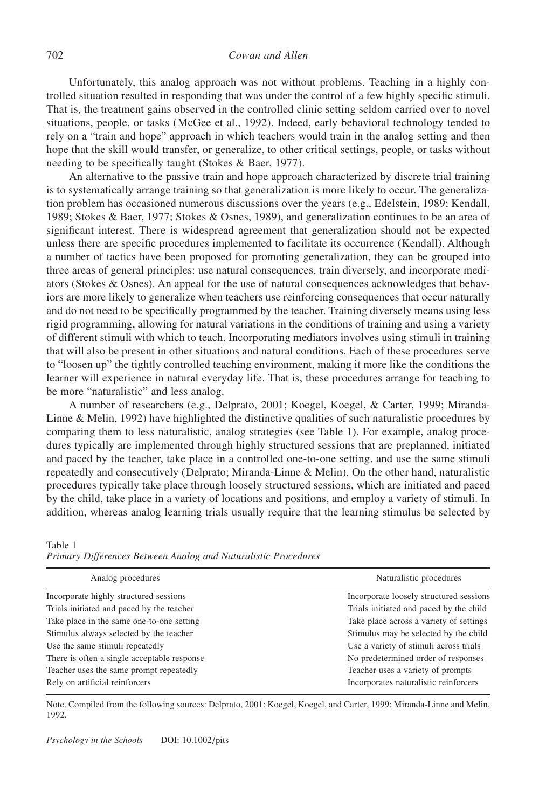### 702 *Cowan and Allen*

Unfortunately, this analog approach was not without problems. Teaching in a highly controlled situation resulted in responding that was under the control of a few highly specific stimuli. That is, the treatment gains observed in the controlled clinic setting seldom carried over to novel situations, people, or tasks (McGee et al., 1992). Indeed, early behavioral technology tended to rely on a "train and hope" approach in which teachers would train in the analog setting and then hope that the skill would transfer, or generalize, to other critical settings, people, or tasks without needing to be specifically taught (Stokes & Baer, 1977).

An alternative to the passive train and hope approach characterized by discrete trial training is to systematically arrange training so that generalization is more likely to occur. The generalization problem has occasioned numerous discussions over the years (e.g., Edelstein, 1989; Kendall, 1989; Stokes & Baer, 1977; Stokes & Osnes, 1989), and generalization continues to be an area of significant interest. There is widespread agreement that generalization should not be expected unless there are specific procedures implemented to facilitate its occurrence (Kendall). Although a number of tactics have been proposed for promoting generalization, they can be grouped into three areas of general principles: use natural consequences, train diversely, and incorporate mediators (Stokes & Osnes). An appeal for the use of natural consequences acknowledges that behaviors are more likely to generalize when teachers use reinforcing consequences that occur naturally and do not need to be specifically programmed by the teacher. Training diversely means using less rigid programming, allowing for natural variations in the conditions of training and using a variety of different stimuli with which to teach. Incorporating mediators involves using stimuli in training that will also be present in other situations and natural conditions. Each of these procedures serve to "loosen up" the tightly controlled teaching environment, making it more like the conditions the learner will experience in natural everyday life. That is, these procedures arrange for teaching to be more "naturalistic" and less analog.

A number of researchers (e.g., Delprato, 2001; Koegel, Koegel, & Carter, 1999; Miranda-Linne & Melin, 1992) have highlighted the distinctive qualities of such naturalistic procedures by comparing them to less naturalistic, analog strategies (see Table 1). For example, analog procedures typically are implemented through highly structured sessions that are preplanned, initiated and paced by the teacher, take place in a controlled one-to-one setting, and use the same stimuli repeatedly and consecutively (Delprato; Miranda-Linne & Melin). On the other hand, naturalistic procedures typically take place through loosely structured sessions, which are initiated and paced by the child, take place in a variety of locations and positions, and employ a variety of stimuli. In addition, whereas analog learning trials usually require that the learning stimulus be selected by

| Analog procedures                           | Naturalistic procedures                 |  |
|---------------------------------------------|-----------------------------------------|--|
| Incorporate highly structured sessions      | Incorporate loosely structured sessions |  |
| Trials initiated and paced by the teacher   | Trials initiated and paced by the child |  |
| Take place in the same one-to-one setting   | Take place across a variety of settings |  |
| Stimulus always selected by the teacher     | Stimulus may be selected by the child   |  |
| Use the same stimuli repeatedly             | Use a variety of stimuli across trials  |  |
| There is often a single acceptable response | No predetermined order of responses     |  |
| Teacher uses the same prompt repeatedly     | Teacher uses a variety of prompts       |  |
| Rely on artificial reinforcers              | Incorporates naturalistic reinforcers   |  |
|                                             |                                         |  |

Table 1 *Primary Differences Between Analog and Naturalistic Procedures*

Note. Compiled from the following sources: Delprato, 2001; Koegel, Koegel, and Carter, 1999; Miranda-Linne and Melin, 1992.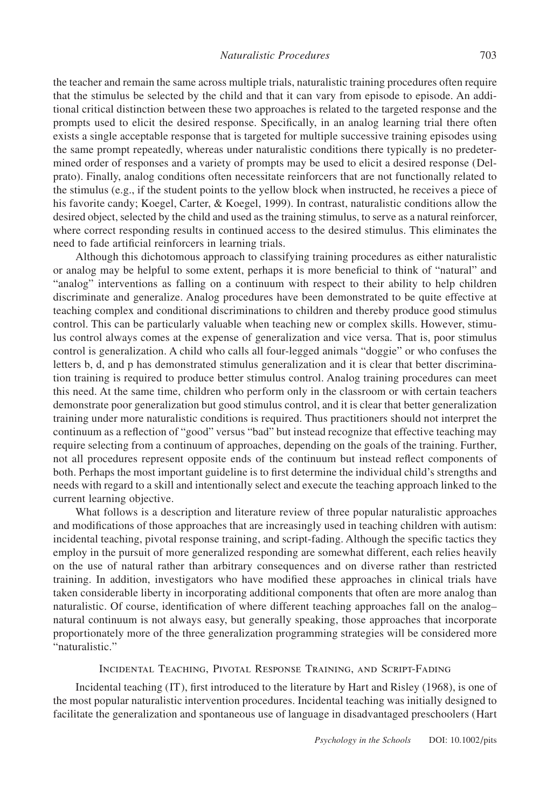the teacher and remain the same across multiple trials, naturalistic training procedures often require that the stimulus be selected by the child and that it can vary from episode to episode. An additional critical distinction between these two approaches is related to the targeted response and the prompts used to elicit the desired response. Specifically, in an analog learning trial there often exists a single acceptable response that is targeted for multiple successive training episodes using the same prompt repeatedly, whereas under naturalistic conditions there typically is no predetermined order of responses and a variety of prompts may be used to elicit a desired response (Delprato). Finally, analog conditions often necessitate reinforcers that are not functionally related to the stimulus (e.g., if the student points to the yellow block when instructed, he receives a piece of his favorite candy; Koegel, Carter, & Koegel, 1999). In contrast, naturalistic conditions allow the desired object, selected by the child and used as the training stimulus, to serve as a natural reinforcer, where correct responding results in continued access to the desired stimulus. This eliminates the need to fade artificial reinforcers in learning trials.

Although this dichotomous approach to classifying training procedures as either naturalistic or analog may be helpful to some extent, perhaps it is more beneficial to think of "natural" and "analog" interventions as falling on a continuum with respect to their ability to help children discriminate and generalize. Analog procedures have been demonstrated to be quite effective at teaching complex and conditional discriminations to children and thereby produce good stimulus control. This can be particularly valuable when teaching new or complex skills. However, stimulus control always comes at the expense of generalization and vice versa. That is, poor stimulus control is generalization. A child who calls all four-legged animals "doggie" or who confuses the letters b, d, and p has demonstrated stimulus generalization and it is clear that better discrimination training is required to produce better stimulus control. Analog training procedures can meet this need. At the same time, children who perform only in the classroom or with certain teachers demonstrate poor generalization but good stimulus control, and it is clear that better generalization training under more naturalistic conditions is required. Thus practitioners should not interpret the continuum as a reflection of "good" versus "bad" but instead recognize that effective teaching may require selecting from a continuum of approaches, depending on the goals of the training. Further, not all procedures represent opposite ends of the continuum but instead reflect components of both. Perhaps the most important guideline is to first determine the individual child's strengths and needs with regard to a skill and intentionally select and execute the teaching approach linked to the current learning objective.

What follows is a description and literature review of three popular naturalistic approaches and modifications of those approaches that are increasingly used in teaching children with autism: incidental teaching, pivotal response training, and script-fading. Although the specific tactics they employ in the pursuit of more generalized responding are somewhat different, each relies heavily on the use of natural rather than arbitrary consequences and on diverse rather than restricted training. In addition, investigators who have modified these approaches in clinical trials have taken considerable liberty in incorporating additional components that often are more analog than naturalistic. Of course, identification of where different teaching approaches fall on the analog– natural continuum is not always easy, but generally speaking, those approaches that incorporate proportionately more of the three generalization programming strategies will be considered more "naturalistic."

# Incidental Teaching, Pivotal Response Training, and Script-Fading

Incidental teaching (IT), first introduced to the literature by Hart and Risley (1968), is one of the most popular naturalistic intervention procedures. Incidental teaching was initially designed to facilitate the generalization and spontaneous use of language in disadvantaged preschoolers (Hart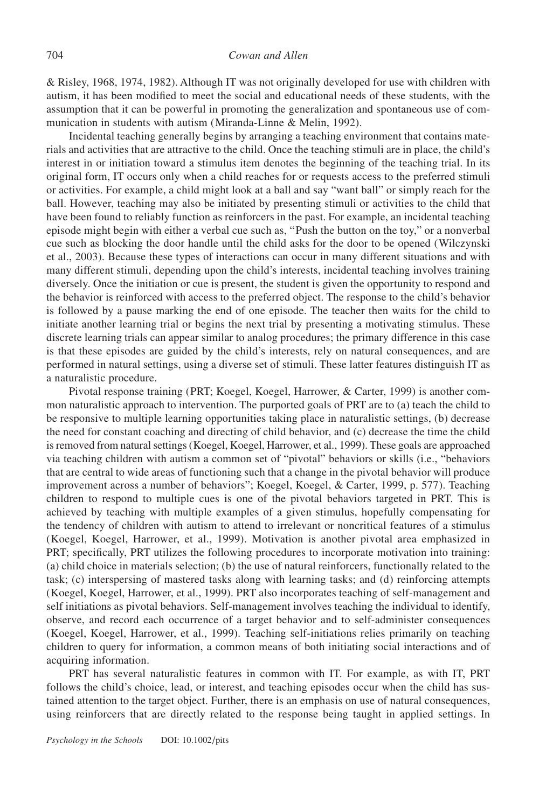& Risley, 1968, 1974, 1982). Although IT was not originally developed for use with children with autism, it has been modified to meet the social and educational needs of these students, with the assumption that it can be powerful in promoting the generalization and spontaneous use of communication in students with autism (Miranda-Linne & Melin, 1992).

Incidental teaching generally begins by arranging a teaching environment that contains materials and activities that are attractive to the child. Once the teaching stimuli are in place, the child's interest in or initiation toward a stimulus item denotes the beginning of the teaching trial. In its original form, IT occurs only when a child reaches for or requests access to the preferred stimuli or activities. For example, a child might look at a ball and say "want ball" or simply reach for the ball. However, teaching may also be initiated by presenting stimuli or activities to the child that have been found to reliably function as reinforcers in the past. For example, an incidental teaching episode might begin with either a verbal cue such as, "Push the button on the toy," or a nonverbal cue such as blocking the door handle until the child asks for the door to be opened (Wilczynski et al., 2003). Because these types of interactions can occur in many different situations and with many different stimuli, depending upon the child's interests, incidental teaching involves training diversely. Once the initiation or cue is present, the student is given the opportunity to respond and the behavior is reinforced with access to the preferred object. The response to the child's behavior is followed by a pause marking the end of one episode. The teacher then waits for the child to initiate another learning trial or begins the next trial by presenting a motivating stimulus. These discrete learning trials can appear similar to analog procedures; the primary difference in this case is that these episodes are guided by the child's interests, rely on natural consequences, and are performed in natural settings, using a diverse set of stimuli. These latter features distinguish IT as a naturalistic procedure.

Pivotal response training (PRT; Koegel, Koegel, Harrower, & Carter, 1999) is another common naturalistic approach to intervention. The purported goals of PRT are to (a) teach the child to be responsive to multiple learning opportunities taking place in naturalistic settings, (b) decrease the need for constant coaching and directing of child behavior, and (c) decrease the time the child is removed from natural settings (Koegel, Koegel, Harrower, et al., 1999). These goals are approached via teaching children with autism a common set of "pivotal" behaviors or skills (i.e., "behaviors that are central to wide areas of functioning such that a change in the pivotal behavior will produce improvement across a number of behaviors"; Koegel, Koegel, & Carter, 1999, p. 577). Teaching children to respond to multiple cues is one of the pivotal behaviors targeted in PRT. This is achieved by teaching with multiple examples of a given stimulus, hopefully compensating for the tendency of children with autism to attend to irrelevant or noncritical features of a stimulus (Koegel, Koegel, Harrower, et al., 1999). Motivation is another pivotal area emphasized in PRT; specifically, PRT utilizes the following procedures to incorporate motivation into training: (a) child choice in materials selection; (b) the use of natural reinforcers, functionally related to the task; (c) interspersing of mastered tasks along with learning tasks; and (d) reinforcing attempts (Koegel, Koegel, Harrower, et al., 1999). PRT also incorporates teaching of self-management and self initiations as pivotal behaviors. Self-management involves teaching the individual to identify, observe, and record each occurrence of a target behavior and to self-administer consequences (Koegel, Koegel, Harrower, et al., 1999). Teaching self-initiations relies primarily on teaching children to query for information, a common means of both initiating social interactions and of acquiring information.

PRT has several naturalistic features in common with IT. For example, as with IT, PRT follows the child's choice, lead, or interest, and teaching episodes occur when the child has sustained attention to the target object. Further, there is an emphasis on use of natural consequences, using reinforcers that are directly related to the response being taught in applied settings. In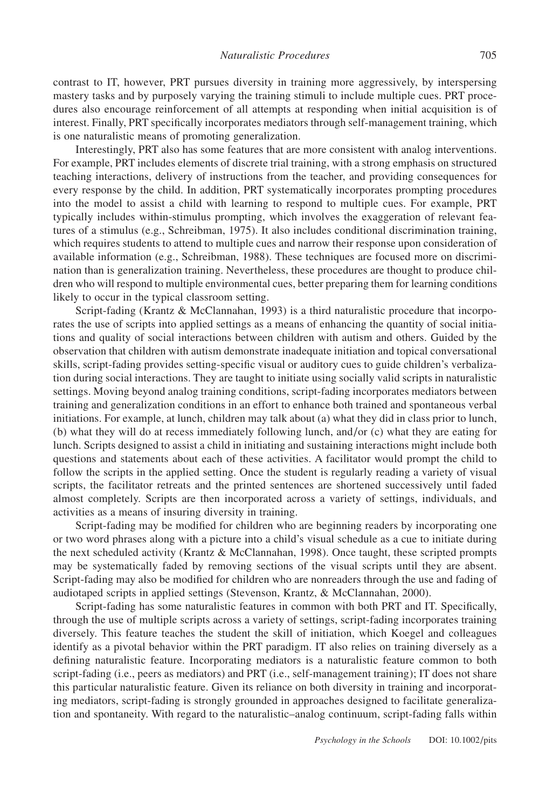contrast to IT, however, PRT pursues diversity in training more aggressively, by interspersing mastery tasks and by purposely varying the training stimuli to include multiple cues. PRT procedures also encourage reinforcement of all attempts at responding when initial acquisition is of interest. Finally, PRT specifically incorporates mediators through self-management training, which is one naturalistic means of promoting generalization.

Interestingly, PRT also has some features that are more consistent with analog interventions. For example, PRT includes elements of discrete trial training, with a strong emphasis on structured teaching interactions, delivery of instructions from the teacher, and providing consequences for every response by the child. In addition, PRT systematically incorporates prompting procedures into the model to assist a child with learning to respond to multiple cues. For example, PRT typically includes within-stimulus prompting, which involves the exaggeration of relevant features of a stimulus (e.g., Schreibman, 1975). It also includes conditional discrimination training, which requires students to attend to multiple cues and narrow their response upon consideration of available information (e.g., Schreibman, 1988). These techniques are focused more on discrimination than is generalization training. Nevertheless, these procedures are thought to produce children who will respond to multiple environmental cues, better preparing them for learning conditions likely to occur in the typical classroom setting.

Script-fading (Krantz & McClannahan, 1993) is a third naturalistic procedure that incorporates the use of scripts into applied settings as a means of enhancing the quantity of social initiations and quality of social interactions between children with autism and others. Guided by the observation that children with autism demonstrate inadequate initiation and topical conversational skills, script-fading provides setting-specific visual or auditory cues to guide children's verbalization during social interactions. They are taught to initiate using socially valid scripts in naturalistic settings. Moving beyond analog training conditions, script-fading incorporates mediators between training and generalization conditions in an effort to enhance both trained and spontaneous verbal initiations. For example, at lunch, children may talk about (a) what they did in class prior to lunch, (b) what they will do at recess immediately following lunch, and/or (c) what they are eating for lunch. Scripts designed to assist a child in initiating and sustaining interactions might include both questions and statements about each of these activities. A facilitator would prompt the child to follow the scripts in the applied setting. Once the student is regularly reading a variety of visual scripts, the facilitator retreats and the printed sentences are shortened successively until faded almost completely. Scripts are then incorporated across a variety of settings, individuals, and activities as a means of insuring diversity in training.

Script-fading may be modified for children who are beginning readers by incorporating one or two word phrases along with a picture into a child's visual schedule as a cue to initiate during the next scheduled activity (Krantz & McClannahan, 1998). Once taught, these scripted prompts may be systematically faded by removing sections of the visual scripts until they are absent. Script-fading may also be modified for children who are nonreaders through the use and fading of audiotaped scripts in applied settings (Stevenson, Krantz, & McClannahan, 2000).

Script-fading has some naturalistic features in common with both PRT and IT. Specifically, through the use of multiple scripts across a variety of settings, script-fading incorporates training diversely. This feature teaches the student the skill of initiation, which Koegel and colleagues identify as a pivotal behavior within the PRT paradigm. IT also relies on training diversely as a defining naturalistic feature. Incorporating mediators is a naturalistic feature common to both script-fading (i.e., peers as mediators) and PRT (i.e., self-management training); IT does not share this particular naturalistic feature. Given its reliance on both diversity in training and incorporating mediators, script-fading is strongly grounded in approaches designed to facilitate generalization and spontaneity. With regard to the naturalistic–analog continuum, script-fading falls within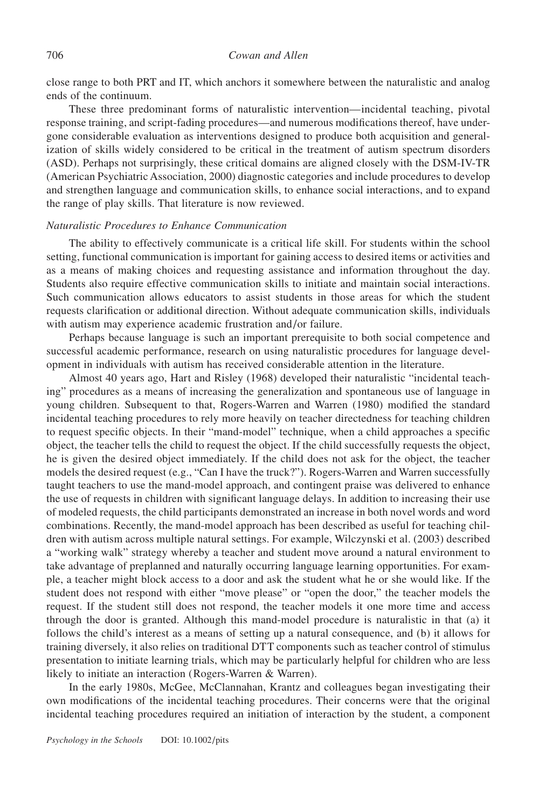close range to both PRT and IT, which anchors it somewhere between the naturalistic and analog ends of the continuum.

These three predominant forms of naturalistic intervention—incidental teaching, pivotal response training, and script-fading procedures—and numerous modifications thereof, have undergone considerable evaluation as interventions designed to produce both acquisition and generalization of skills widely considered to be critical in the treatment of autism spectrum disorders (ASD). Perhaps not surprisingly, these critical domains are aligned closely with the DSM-IV-TR (American Psychiatric Association, 2000) diagnostic categories and include procedures to develop and strengthen language and communication skills, to enhance social interactions, and to expand the range of play skills. That literature is now reviewed.

### *Naturalistic Procedures to Enhance Communication*

The ability to effectively communicate is a critical life skill. For students within the school setting, functional communication is important for gaining access to desired items or activities and as a means of making choices and requesting assistance and information throughout the day. Students also require effective communication skills to initiate and maintain social interactions. Such communication allows educators to assist students in those areas for which the student requests clarification or additional direction. Without adequate communication skills, individuals with autism may experience academic frustration and/or failure.

Perhaps because language is such an important prerequisite to both social competence and successful academic performance, research on using naturalistic procedures for language development in individuals with autism has received considerable attention in the literature.

Almost 40 years ago, Hart and Risley (1968) developed their naturalistic "incidental teaching" procedures as a means of increasing the generalization and spontaneous use of language in young children. Subsequent to that, Rogers-Warren and Warren (1980) modified the standard incidental teaching procedures to rely more heavily on teacher directedness for teaching children to request specific objects. In their "mand-model" technique, when a child approaches a specific object, the teacher tells the child to request the object. If the child successfully requests the object, he is given the desired object immediately. If the child does not ask for the object, the teacher models the desired request (e.g., "Can I have the truck?"). Rogers-Warren and Warren successfully taught teachers to use the mand-model approach, and contingent praise was delivered to enhance the use of requests in children with significant language delays. In addition to increasing their use of modeled requests, the child participants demonstrated an increase in both novel words and word combinations. Recently, the mand-model approach has been described as useful for teaching children with autism across multiple natural settings. For example, Wilczynski et al. (2003) described a "working walk" strategy whereby a teacher and student move around a natural environment to take advantage of preplanned and naturally occurring language learning opportunities. For example, a teacher might block access to a door and ask the student what he or she would like. If the student does not respond with either "move please" or "open the door," the teacher models the request. If the student still does not respond, the teacher models it one more time and access through the door is granted. Although this mand-model procedure is naturalistic in that (a) it follows the child's interest as a means of setting up a natural consequence, and (b) it allows for training diversely, it also relies on traditional DTT components such as teacher control of stimulus presentation to initiate learning trials, which may be particularly helpful for children who are less likely to initiate an interaction (Rogers-Warren & Warren).

In the early 1980s, McGee, McClannahan, Krantz and colleagues began investigating their own modifications of the incidental teaching procedures. Their concerns were that the original incidental teaching procedures required an initiation of interaction by the student, a component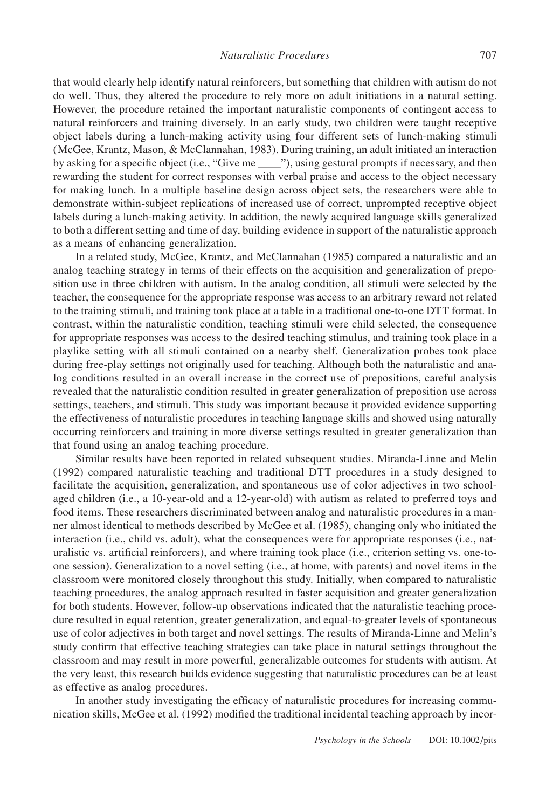that would clearly help identify natural reinforcers, but something that children with autism do not do well. Thus, they altered the procedure to rely more on adult initiations in a natural setting. However, the procedure retained the important naturalistic components of contingent access to natural reinforcers and training diversely. In an early study, two children were taught receptive object labels during a lunch-making activity using four different sets of lunch-making stimuli (McGee, Krantz, Mason, & McClannahan, 1983). During training, an adult initiated an interaction by asking for a specific object (i.e., "Give me \_\_\_\_"), using gestural prompts if necessary, and then rewarding the student for correct responses with verbal praise and access to the object necessary for making lunch. In a multiple baseline design across object sets, the researchers were able to demonstrate within-subject replications of increased use of correct, unprompted receptive object labels during a lunch-making activity. In addition, the newly acquired language skills generalized to both a different setting and time of day, building evidence in support of the naturalistic approach as a means of enhancing generalization.

In a related study, McGee, Krantz, and McClannahan (1985) compared a naturalistic and an analog teaching strategy in terms of their effects on the acquisition and generalization of preposition use in three children with autism. In the analog condition, all stimuli were selected by the teacher, the consequence for the appropriate response was access to an arbitrary reward not related to the training stimuli, and training took place at a table in a traditional one-to-one DTT format. In contrast, within the naturalistic condition, teaching stimuli were child selected, the consequence for appropriate responses was access to the desired teaching stimulus, and training took place in a playlike setting with all stimuli contained on a nearby shelf. Generalization probes took place during free-play settings not originally used for teaching. Although both the naturalistic and analog conditions resulted in an overall increase in the correct use of prepositions, careful analysis revealed that the naturalistic condition resulted in greater generalization of preposition use across settings, teachers, and stimuli. This study was important because it provided evidence supporting the effectiveness of naturalistic procedures in teaching language skills and showed using naturally occurring reinforcers and training in more diverse settings resulted in greater generalization than that found using an analog teaching procedure.

Similar results have been reported in related subsequent studies. Miranda-Linne and Melin (1992) compared naturalistic teaching and traditional DTT procedures in a study designed to facilitate the acquisition, generalization, and spontaneous use of color adjectives in two schoolaged children (i.e., a 10-year-old and a 12-year-old) with autism as related to preferred toys and food items. These researchers discriminated between analog and naturalistic procedures in a manner almost identical to methods described by McGee et al. (1985), changing only who initiated the interaction (i.e., child vs. adult), what the consequences were for appropriate responses (i.e., naturalistic vs. artificial reinforcers), and where training took place (i.e., criterion setting vs. one-toone session). Generalization to a novel setting (i.e., at home, with parents) and novel items in the classroom were monitored closely throughout this study. Initially, when compared to naturalistic teaching procedures, the analog approach resulted in faster acquisition and greater generalization for both students. However, follow-up observations indicated that the naturalistic teaching procedure resulted in equal retention, greater generalization, and equal-to-greater levels of spontaneous use of color adjectives in both target and novel settings. The results of Miranda-Linne and Melin's study confirm that effective teaching strategies can take place in natural settings throughout the classroom and may result in more powerful, generalizable outcomes for students with autism. At the very least, this research builds evidence suggesting that naturalistic procedures can be at least as effective as analog procedures.

In another study investigating the efficacy of naturalistic procedures for increasing communication skills, McGee et al. (1992) modified the traditional incidental teaching approach by incor-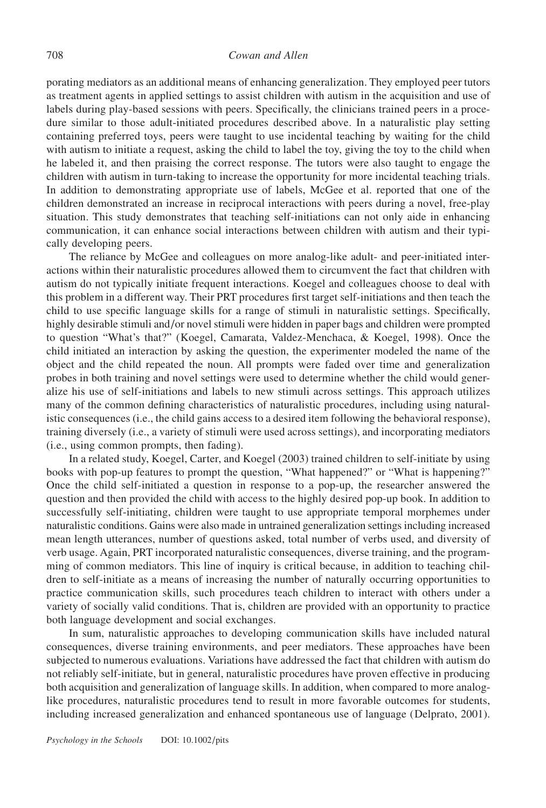### 708 *Cowan and Allen*

porating mediators as an additional means of enhancing generalization. They employed peer tutors as treatment agents in applied settings to assist children with autism in the acquisition and use of labels during play-based sessions with peers. Specifically, the clinicians trained peers in a procedure similar to those adult-initiated procedures described above. In a naturalistic play setting containing preferred toys, peers were taught to use incidental teaching by waiting for the child with autism to initiate a request, asking the child to label the toy, giving the toy to the child when he labeled it, and then praising the correct response. The tutors were also taught to engage the children with autism in turn-taking to increase the opportunity for more incidental teaching trials. In addition to demonstrating appropriate use of labels, McGee et al. reported that one of the children demonstrated an increase in reciprocal interactions with peers during a novel, free-play situation. This study demonstrates that teaching self-initiations can not only aide in enhancing communication, it can enhance social interactions between children with autism and their typically developing peers.

The reliance by McGee and colleagues on more analog-like adult- and peer-initiated interactions within their naturalistic procedures allowed them to circumvent the fact that children with autism do not typically initiate frequent interactions. Koegel and colleagues choose to deal with this problem in a different way. Their PRT procedures first target self-initiations and then teach the child to use specific language skills for a range of stimuli in naturalistic settings. Specifically, highly desirable stimuli and/or novel stimuli were hidden in paper bags and children were prompted to question "What's that?" (Koegel, Camarata, Valdez-Menchaca, & Koegel, 1998). Once the child initiated an interaction by asking the question, the experimenter modeled the name of the object and the child repeated the noun. All prompts were faded over time and generalization probes in both training and novel settings were used to determine whether the child would generalize his use of self-initiations and labels to new stimuli across settings. This approach utilizes many of the common defining characteristics of naturalistic procedures, including using naturalistic consequences (i.e., the child gains access to a desired item following the behavioral response), training diversely (i.e., a variety of stimuli were used across settings), and incorporating mediators (i.e., using common prompts, then fading).

In a related study, Koegel, Carter, and Koegel (2003) trained children to self-initiate by using books with pop-up features to prompt the question, "What happened?" or "What is happening?" Once the child self-initiated a question in response to a pop-up, the researcher answered the question and then provided the child with access to the highly desired pop-up book. In addition to successfully self-initiating, children were taught to use appropriate temporal morphemes under naturalistic conditions. Gains were also made in untrained generalization settings including increased mean length utterances, number of questions asked, total number of verbs used, and diversity of verb usage. Again, PRT incorporated naturalistic consequences, diverse training, and the programming of common mediators. This line of inquiry is critical because, in addition to teaching children to self-initiate as a means of increasing the number of naturally occurring opportunities to practice communication skills, such procedures teach children to interact with others under a variety of socially valid conditions. That is, children are provided with an opportunity to practice both language development and social exchanges.

In sum, naturalistic approaches to developing communication skills have included natural consequences, diverse training environments, and peer mediators. These approaches have been subjected to numerous evaluations. Variations have addressed the fact that children with autism do not reliably self-initiate, but in general, naturalistic procedures have proven effective in producing both acquisition and generalization of language skills. In addition, when compared to more analoglike procedures, naturalistic procedures tend to result in more favorable outcomes for students, including increased generalization and enhanced spontaneous use of language (Delprato, 2001).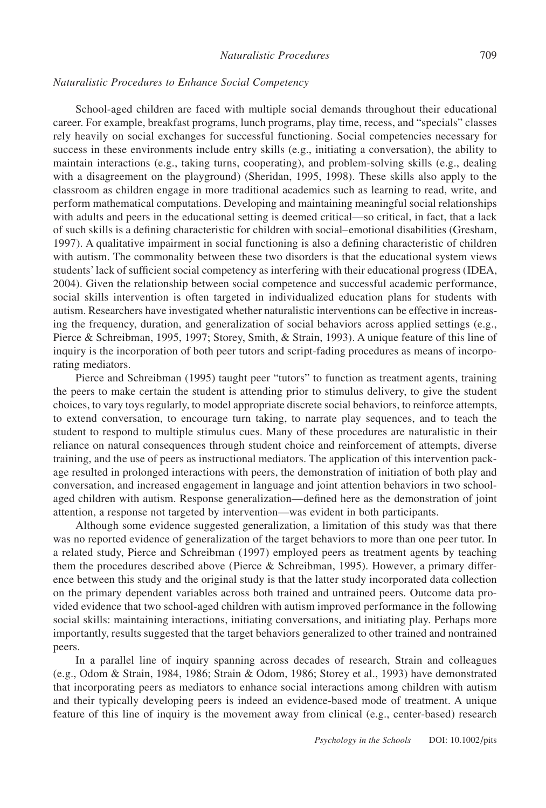School-aged children are faced with multiple social demands throughout their educational career. For example, breakfast programs, lunch programs, play time, recess, and "specials" classes rely heavily on social exchanges for successful functioning. Social competencies necessary for success in these environments include entry skills (e.g., initiating a conversation), the ability to maintain interactions (e.g., taking turns, cooperating), and problem-solving skills (e.g., dealing with a disagreement on the playground) (Sheridan, 1995, 1998). These skills also apply to the classroom as children engage in more traditional academics such as learning to read, write, and perform mathematical computations. Developing and maintaining meaningful social relationships with adults and peers in the educational setting is deemed critical—so critical, in fact, that a lack of such skills is a defining characteristic for children with social–emotional disabilities (Gresham, 1997). A qualitative impairment in social functioning is also a defining characteristic of children with autism. The commonality between these two disorders is that the educational system views students'lack of sufficient social competency as interfering with their educational progress (IDEA, 2004). Given the relationship between social competence and successful academic performance, social skills intervention is often targeted in individualized education plans for students with autism. Researchers have investigated whether naturalistic interventions can be effective in increasing the frequency, duration, and generalization of social behaviors across applied settings (e.g., Pierce & Schreibman, 1995, 1997; Storey, Smith, & Strain, 1993). A unique feature of this line of inquiry is the incorporation of both peer tutors and script-fading procedures as means of incorporating mediators.

Pierce and Schreibman (1995) taught peer "tutors" to function as treatment agents, training the peers to make certain the student is attending prior to stimulus delivery, to give the student choices, to vary toys regularly, to model appropriate discrete social behaviors, to reinforce attempts, to extend conversation, to encourage turn taking, to narrate play sequences, and to teach the student to respond to multiple stimulus cues. Many of these procedures are naturalistic in their reliance on natural consequences through student choice and reinforcement of attempts, diverse training, and the use of peers as instructional mediators. The application of this intervention package resulted in prolonged interactions with peers, the demonstration of initiation of both play and conversation, and increased engagement in language and joint attention behaviors in two schoolaged children with autism. Response generalization—defined here as the demonstration of joint attention, a response not targeted by intervention—was evident in both participants.

Although some evidence suggested generalization, a limitation of this study was that there was no reported evidence of generalization of the target behaviors to more than one peer tutor. In a related study, Pierce and Schreibman (1997) employed peers as treatment agents by teaching them the procedures described above (Pierce & Schreibman, 1995). However, a primary difference between this study and the original study is that the latter study incorporated data collection on the primary dependent variables across both trained and untrained peers. Outcome data provided evidence that two school-aged children with autism improved performance in the following social skills: maintaining interactions, initiating conversations, and initiating play. Perhaps more importantly, results suggested that the target behaviors generalized to other trained and nontrained peers.

In a parallel line of inquiry spanning across decades of research, Strain and colleagues (e.g., Odom & Strain, 1984, 1986; Strain & Odom, 1986; Storey et al., 1993) have demonstrated that incorporating peers as mediators to enhance social interactions among children with autism and their typically developing peers is indeed an evidence-based mode of treatment. A unique feature of this line of inquiry is the movement away from clinical (e.g., center-based) research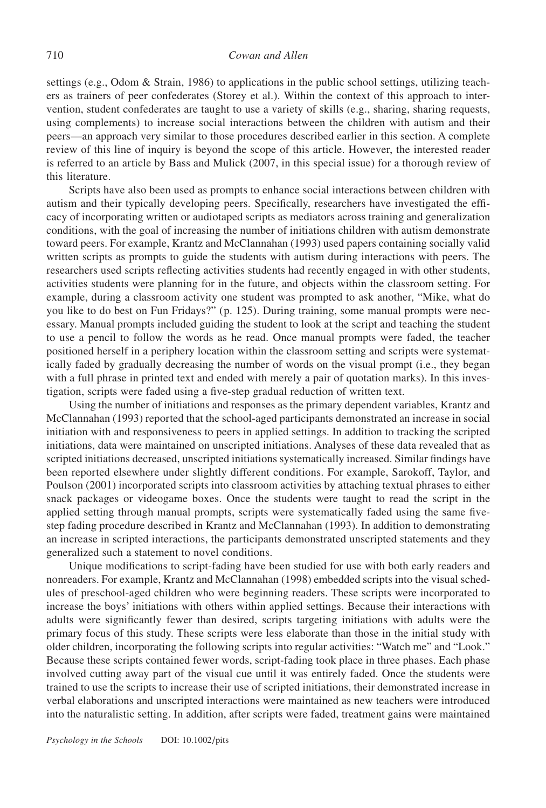settings (e.g., Odom & Strain, 1986) to applications in the public school settings, utilizing teachers as trainers of peer confederates (Storey et al.). Within the context of this approach to intervention, student confederates are taught to use a variety of skills (e.g., sharing, sharing requests, using complements) to increase social interactions between the children with autism and their peers—an approach very similar to those procedures described earlier in this section. A complete review of this line of inquiry is beyond the scope of this article. However, the interested reader is referred to an article by Bass and Mulick (2007, in this special issue) for a thorough review of this literature.

Scripts have also been used as prompts to enhance social interactions between children with autism and their typically developing peers. Specifically, researchers have investigated the efficacy of incorporating written or audiotaped scripts as mediators across training and generalization conditions, with the goal of increasing the number of initiations children with autism demonstrate toward peers. For example, Krantz and McClannahan (1993) used papers containing socially valid written scripts as prompts to guide the students with autism during interactions with peers. The researchers used scripts reflecting activities students had recently engaged in with other students, activities students were planning for in the future, and objects within the classroom setting. For example, during a classroom activity one student was prompted to ask another, "Mike, what do you like to do best on Fun Fridays?" (p. 125). During training, some manual prompts were necessary. Manual prompts included guiding the student to look at the script and teaching the student to use a pencil to follow the words as he read. Once manual prompts were faded, the teacher positioned herself in a periphery location within the classroom setting and scripts were systematically faded by gradually decreasing the number of words on the visual prompt (i.e., they began with a full phrase in printed text and ended with merely a pair of quotation marks). In this investigation, scripts were faded using a five-step gradual reduction of written text.

Using the number of initiations and responses as the primary dependent variables, Krantz and McClannahan (1993) reported that the school-aged participants demonstrated an increase in social initiation with and responsiveness to peers in applied settings. In addition to tracking the scripted initiations, data were maintained on unscripted initiations. Analyses of these data revealed that as scripted initiations decreased, unscripted initiations systematically increased. Similar findings have been reported elsewhere under slightly different conditions. For example, Sarokoff, Taylor, and Poulson (2001) incorporated scripts into classroom activities by attaching textual phrases to either snack packages or videogame boxes. Once the students were taught to read the script in the applied setting through manual prompts, scripts were systematically faded using the same fivestep fading procedure described in Krantz and McClannahan (1993). In addition to demonstrating an increase in scripted interactions, the participants demonstrated unscripted statements and they generalized such a statement to novel conditions.

Unique modifications to script-fading have been studied for use with both early readers and nonreaders. For example, Krantz and McClannahan (1998) embedded scripts into the visual schedules of preschool-aged children who were beginning readers. These scripts were incorporated to increase the boys' initiations with others within applied settings. Because their interactions with adults were significantly fewer than desired, scripts targeting initiations with adults were the primary focus of this study. These scripts were less elaborate than those in the initial study with older children, incorporating the following scripts into regular activities: "Watch me" and "Look." Because these scripts contained fewer words, script-fading took place in three phases. Each phase involved cutting away part of the visual cue until it was entirely faded. Once the students were trained to use the scripts to increase their use of scripted initiations, their demonstrated increase in verbal elaborations and unscripted interactions were maintained as new teachers were introduced into the naturalistic setting. In addition, after scripts were faded, treatment gains were maintained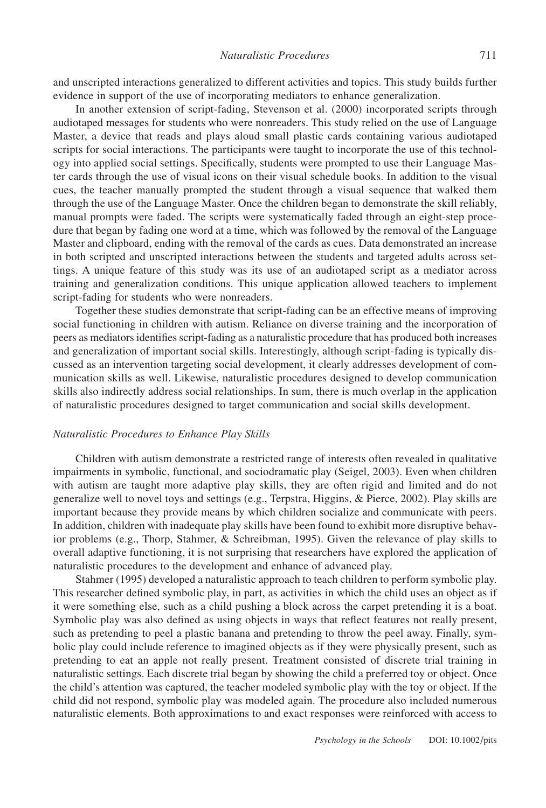and unscripted interactions generalized to different activities and topics. This study builds further evidence in support of the use of incorporating mediators to enhance generalization.

In another extension of script-fading, Stevenson et al. (2000) incorporated scripts through audiotaped messages for students who were nonreaders. This study relied on the use of Language Master, a device that reads and plays aloud small plastic cards containing various audiotaped scripts for social interactions. The participants were taught to incorporate the use of this technology into applied social settings. Specifically, students were prompted to use their Language Master cards through the use of visual icons on their visual schedule books. In addition to the visual cues, the teacher manually prompted the student through a visual sequence that walked them through the use of the Language Master. Once the children began to demonstrate the skill reliably, manual prompts were faded. The scripts were systematically faded through an eight-step procedure that began by fading one word at a time, which was followed by the removal of the Language Master and clipboard, ending with the removal of the cards as cues. Data demonstrated an increase in both scripted and unscripted interactions between the students and targeted adults across settings. A unique feature of this study was its use of an audiotaped script as a mediator across training and generalization conditions. This unique application allowed teachers to implement script-fading for students who were nonreaders.

Together these studies demonstrate that script-fading can be an effective means of improving social functioning in children with autism. Reliance on diverse training and the incorporation of peers as mediators identifies script-fading as a naturalistic procedure that has produced both increases and generalization of important social skills. Interestingly, although script-fading is typically discussed as an intervention targeting social development, it clearly addresses development of communication skills as well. Likewise, naturalistic procedures designed to develop communication skills also indirectly address social relationships. In sum, there is much overlap in the application of naturalistic procedures designed to target communication and social skills development.

### *Naturalistic Procedures to Enhance Play Skills*

Children with autism demonstrate a restricted range of interests often revealed in qualitative impairments in symbolic, functional, and sociodramatic play (Seigel, 2003). Even when children with autism are taught more adaptive play skills, they are often rigid and limited and do not generalize well to novel toys and settings (e.g., Terpstra, Higgins, & Pierce, 2002). Play skills are important because they provide means by which children socialize and communicate with peers. In addition, children with inadequate play skills have been found to exhibit more disruptive behavior problems (e.g., Thorp, Stahmer, & Schreibman, 1995). Given the relevance of play skills to overall adaptive functioning, it is not surprising that researchers have explored the application of naturalistic procedures to the development and enhance of advanced play.

Stahmer (1995) developed a naturalistic approach to teach children to perform symbolic play. This researcher defined symbolic play, in part, as activities in which the child uses an object as if it were something else, such as a child pushing a block across the carpet pretending it is a boat. Symbolic play was also defined as using objects in ways that reflect features not really present, such as pretending to peel a plastic banana and pretending to throw the peel away. Finally, symbolic play could include reference to imagined objects as if they were physically present, such as pretending to eat an apple not really present. Treatment consisted of discrete trial training in naturalistic settings. Each discrete trial began by showing the child a preferred toy or object. Once the child's attention was captured, the teacher modeled symbolic play with the toy or object. If the child did not respond, symbolic play was modeled again. The procedure also included numerous naturalistic elements. Both approximations to and exact responses were reinforced with access to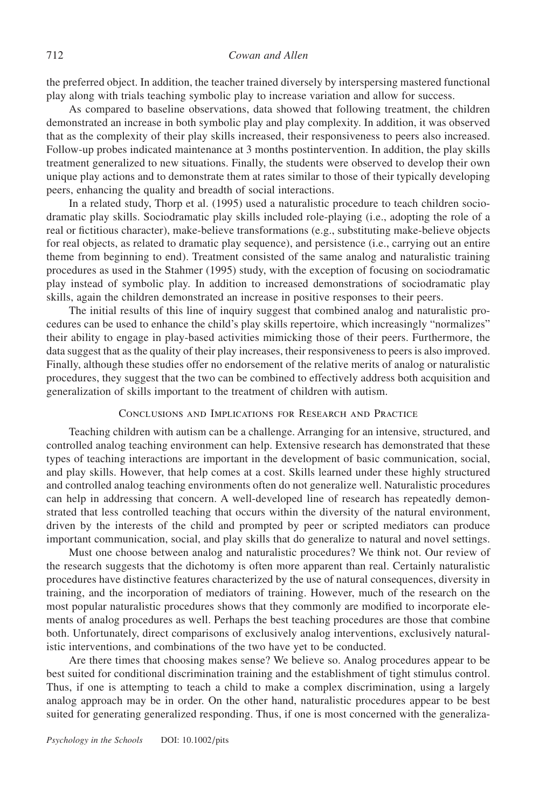the preferred object. In addition, the teacher trained diversely by interspersing mastered functional play along with trials teaching symbolic play to increase variation and allow for success.

As compared to baseline observations, data showed that following treatment, the children demonstrated an increase in both symbolic play and play complexity. In addition, it was observed that as the complexity of their play skills increased, their responsiveness to peers also increased. Follow-up probes indicated maintenance at 3 months postintervention. In addition, the play skills treatment generalized to new situations. Finally, the students were observed to develop their own unique play actions and to demonstrate them at rates similar to those of their typically developing peers, enhancing the quality and breadth of social interactions.

In a related study, Thorp et al. (1995) used a naturalistic procedure to teach children sociodramatic play skills. Sociodramatic play skills included role-playing (i.e., adopting the role of a real or fictitious character), make-believe transformations (e.g., substituting make-believe objects for real objects, as related to dramatic play sequence), and persistence (i.e., carrying out an entire theme from beginning to end). Treatment consisted of the same analog and naturalistic training procedures as used in the Stahmer (1995) study, with the exception of focusing on sociodramatic play instead of symbolic play. In addition to increased demonstrations of sociodramatic play skills, again the children demonstrated an increase in positive responses to their peers.

The initial results of this line of inquiry suggest that combined analog and naturalistic procedures can be used to enhance the child's play skills repertoire, which increasingly "normalizes" their ability to engage in play-based activities mimicking those of their peers. Furthermore, the data suggest that as the quality of their play increases, their responsiveness to peers is also improved. Finally, although these studies offer no endorsement of the relative merits of analog or naturalistic procedures, they suggest that the two can be combined to effectively address both acquisition and generalization of skills important to the treatment of children with autism.

## Conclusions and Implications for Research and Practice

Teaching children with autism can be a challenge. Arranging for an intensive, structured, and controlled analog teaching environment can help. Extensive research has demonstrated that these types of teaching interactions are important in the development of basic communication, social, and play skills. However, that help comes at a cost. Skills learned under these highly structured and controlled analog teaching environments often do not generalize well. Naturalistic procedures can help in addressing that concern. A well-developed line of research has repeatedly demonstrated that less controlled teaching that occurs within the diversity of the natural environment, driven by the interests of the child and prompted by peer or scripted mediators can produce important communication, social, and play skills that do generalize to natural and novel settings.

Must one choose between analog and naturalistic procedures? We think not. Our review of the research suggests that the dichotomy is often more apparent than real. Certainly naturalistic procedures have distinctive features characterized by the use of natural consequences, diversity in training, and the incorporation of mediators of training. However, much of the research on the most popular naturalistic procedures shows that they commonly are modified to incorporate elements of analog procedures as well. Perhaps the best teaching procedures are those that combine both. Unfortunately, direct comparisons of exclusively analog interventions, exclusively naturalistic interventions, and combinations of the two have yet to be conducted.

Are there times that choosing makes sense? We believe so. Analog procedures appear to be best suited for conditional discrimination training and the establishment of tight stimulus control. Thus, if one is attempting to teach a child to make a complex discrimination, using a largely analog approach may be in order. On the other hand, naturalistic procedures appear to be best suited for generating generalized responding. Thus, if one is most concerned with the generaliza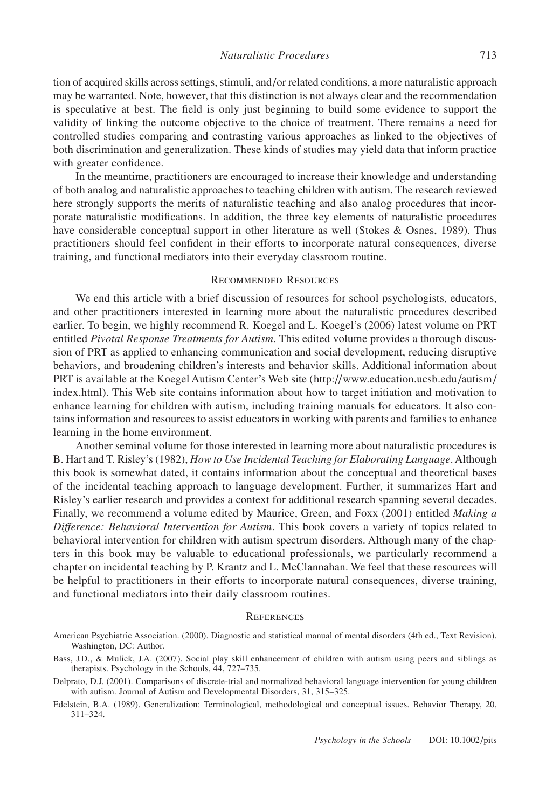tion of acquired skills across settings, stimuli, and/or related conditions, a more naturalistic approach may be warranted. Note, however, that this distinction is not always clear and the recommendation is speculative at best. The field is only just beginning to build some evidence to support the validity of linking the outcome objective to the choice of treatment. There remains a need for controlled studies comparing and contrasting various approaches as linked to the objectives of both discrimination and generalization. These kinds of studies may yield data that inform practice with greater confidence.

In the meantime, practitioners are encouraged to increase their knowledge and understanding of both analog and naturalistic approaches to teaching children with autism. The research reviewed here strongly supports the merits of naturalistic teaching and also analog procedures that incorporate naturalistic modifications. In addition, the three key elements of naturalistic procedures have considerable conceptual support in other literature as well (Stokes & Osnes, 1989). Thus practitioners should feel confident in their efforts to incorporate natural consequences, diverse training, and functional mediators into their everyday classroom routine.

#### Recommended Resources

We end this article with a brief discussion of resources for school psychologists, educators, and other practitioners interested in learning more about the naturalistic procedures described earlier. To begin, we highly recommend R. Koegel and L. Koegel's (2006) latest volume on PRT entitled *Pivotal Response Treatments for Autism*. This edited volume provides a thorough discussion of PRT as applied to enhancing communication and social development, reducing disruptive behaviors, and broadening children's interests and behavior skills. Additional information about PRT is available at the Koegel Autism Center's Web site (http://www.education.ucsb.edu/autism/ index.html). This Web site contains information about how to target initiation and motivation to enhance learning for children with autism, including training manuals for educators. It also contains information and resources to assist educators in working with parents and families to enhance learning in the home environment.

Another seminal volume for those interested in learning more about naturalistic procedures is B. Hart and T. Risley's (1982), *How to Use Incidental Teaching for Elaborating Language*. Although this book is somewhat dated, it contains information about the conceptual and theoretical bases of the incidental teaching approach to language development. Further, it summarizes Hart and Risley's earlier research and provides a context for additional research spanning several decades. Finally, we recommend a volume edited by Maurice, Green, and Foxx (2001) entitled *Making a Difference: Behavioral Intervention for Autism*. This book covers a variety of topics related to behavioral intervention for children with autism spectrum disorders. Although many of the chapters in this book may be valuable to educational professionals, we particularly recommend a chapter on incidental teaching by P. Krantz and L. McClannahan. We feel that these resources will be helpful to practitioners in their efforts to incorporate natural consequences, diverse training, and functional mediators into their daily classroom routines.

#### **REFERENCES**

American Psychiatric Association. (2000). Diagnostic and statistical manual of mental disorders (4th ed., Text Revision). Washington, DC: Author.

Bass, J.D., & Mulick, J.A. (2007). Social play skill enhancement of children with autism using peers and siblings as therapists. Psychology in the Schools, 44, 727–735.

Delprato, D.J. (2001). Comparisons of discrete-trial and normalized behavioral language intervention for young children with autism. Journal of Autism and Developmental Disorders, 31, 315–325.

Edelstein, B.A. (1989). Generalization: Terminological, methodological and conceptual issues. Behavior Therapy, 20, 311–324.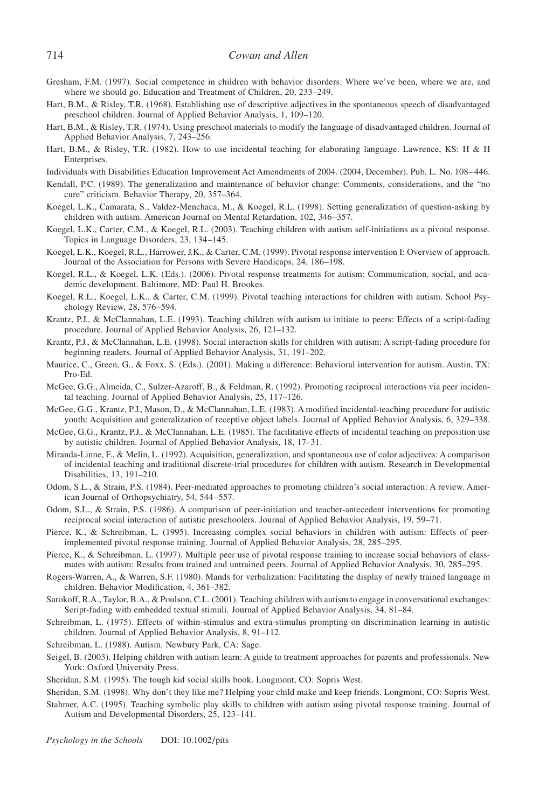- Gresham, F.M. (1997). Social competence in children with behavior disorders: Where we've been, where we are, and where we should go. Education and Treatment of Children, 20, 233–249.
- Hart, B.M., & Risley, T.R. (1968). Establishing use of descriptive adjectives in the spontaneous speech of disadvantaged preschool children. Journal of Applied Behavior Analysis, 1, 109–120.
- Hart, B.M., & Risley, T.R. (1974). Using preschool materials to modify the language of disadvantaged children. Journal of Applied Behavior Analysis, 7, 243–256.
- Hart, B.M., & Risley, T.R. (1982). How to use incidental teaching for elaborating language. Lawrence, KS: H & H Enterprises.
- Individuals with Disabilities Education Improvement Act Amendments of 2004. (2004, December). Pub. L. No. 108– 446.
- Kendall, P.C. (1989). The generalization and maintenance of behavior change: Comments, considerations, and the "no cure" criticism. Behavior Therapy, 20, 357–364.
- Koegel, L.K., Camarata, S., Valdez-Menchaca, M., & Koegel, R.L. (1998). Setting generalization of question-asking by children with autism. American Journal on Mental Retardation, 102, 346–357.
- Koegel, L.K., Carter, C.M., & Koegel, R.L. (2003). Teaching children with autism self-initiations as a pivotal response. Topics in Language Disorders, 23, 134–145.
- Koegel, L.K., Koegel, R.L., Harrower, J.K., & Carter, C.M. (1999). Pivotal response intervention I: Overview of approach. Journal of the Association for Persons with Severe Handicaps, 24, 186–198.
- Koegel, R.L., & Koegel, L.K. (Eds.). (2006). Pivotal response treatments for autism: Communication, social, and academic development. Baltimore, MD: Paul H. Brookes.
- Koegel, R.L., Koegel, L.K., & Carter, C.M. (1999). Pivotal teaching interactions for children with autism. School Psychology Review, 28, 576–594.
- Krantz, P.J., & McClannahan, L.E. (1993). Teaching children with autism to initiate to peers: Effects of a script-fading procedure. Journal of Applied Behavior Analysis, 26, 121–132.
- Krantz, P.J., & McClannahan, L.E. (1998). Social interaction skills for children with autism: A script-fading procedure for beginning readers. Journal of Applied Behavior Analysis, 31, 191–202.
- Maurice, C., Green, G., & Foxx, S. (Eds.). (2001). Making a difference: Behavioral intervention for autism. Austin, TX: Pro-Ed.
- McGee, G.G., Almeida, C., Sulzer-Azaroff, B., & Feldman, R. (1992). Promoting reciprocal interactions via peer incidental teaching. Journal of Applied Behavior Analysis, 25, 117–126.
- McGee, G.G., Krantz, P.J., Mason, D., & McClannahan, L.E. (1983). A modified incidental-teaching procedure for autistic youth: Acquisition and generalization of receptive object labels. Journal of Applied Behavior Analysis, 6, 329–338.
- McGee, G.G., Krantz, P.J., & McClannahan, L.E. (1985). The facilitative effects of incidental teaching on preposition use by autistic children. Journal of Applied Behavior Analysis, 18, 17–31.
- Miranda-Linne, F., & Melin, L. (1992). Acquisition, generalization, and spontaneous use of color adjectives: A comparison of incidental teaching and traditional discrete-trial procedures for children with autism. Research in Developmental Disabilities, 13, 191–210.
- Odom, S.L., & Strain, P.S. (1984). Peer-mediated approaches to promoting children's social interaction: A review. American Journal of Orthopsychiatry, 54, 544–557.
- Odom, S.L., & Strain, P.S. (1986). A comparison of peer-initiation and teacher-antecedent interventions for promoting reciprocal social interaction of autistic preschoolers. Journal of Applied Behavior Analysis, 19, 59–71.
- Pierce, K., & Schreibman, L. (1995). Increasing complex social behaviors in children with autism: Effects of peerimplemented pivotal response training. Journal of Applied Behavior Analysis, 28, 285–295.
- Pierce, K., & Schreibman, L. (1997). Multiple peer use of pivotal response training to increase social behaviors of classmates with autism: Results from trained and untrained peers. Journal of Applied Behavior Analysis, 30, 285–295.
- Rogers-Warren, A., & Warren, S.F. (1980). Mands for verbalization: Facilitating the display of newly trained language in children. Behavior Modification, 4, 361–382.
- Sarokoff, R.A., Taylor, B.A., & Poulson, C.L. (2001). Teaching children with autism to engage in conversational exchanges: Script-fading with embedded textual stimuli. Journal of Applied Behavior Analysis, 34, 81–84.
- Schreibman, L. (1975). Effects of within-stimulus and extra-stimulus prompting on discrimination learning in autistic children. Journal of Applied Behavior Analysis, 8, 91–112.
- Schreibman, L. (1988). Autism. Newbury Park, CA: Sage.
- Seigel, B. (2003). Helping children with autism learn: A guide to treatment approaches for parents and professionals. New York: Oxford University Press.
- Sheridan, S.M. (1995). The tough kid social skills book. Longmont, CO: Sopris West.
- Sheridan, S.M. (1998). Why don't they like me? Helping your child make and keep friends. Longmont, CO: Sopris West.
- Stahmer, A.C. (1995). Teaching symbolic play skills to children with autism using pivotal response training. Journal of Autism and Developmental Disorders, 25, 123–141.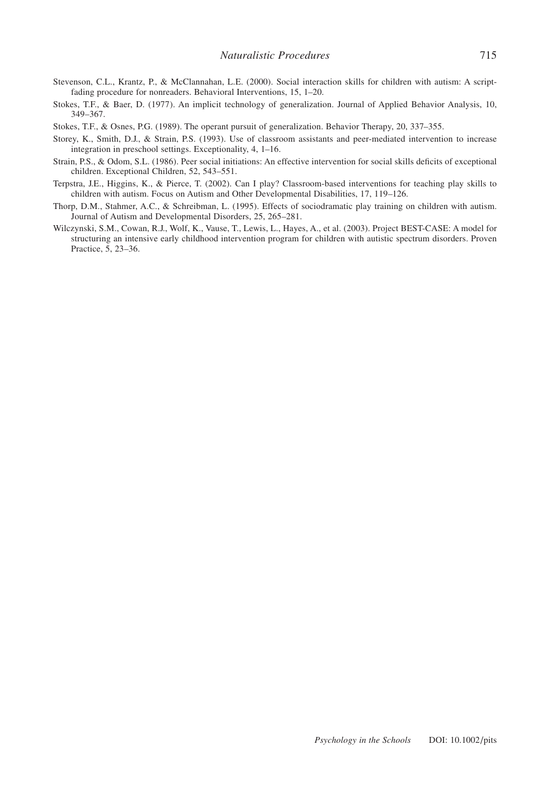- Stevenson, C.L., Krantz, P., & McClannahan, L.E. (2000). Social interaction skills for children with autism: A scriptfading procedure for nonreaders. Behavioral Interventions, 15, 1–20.
- Stokes, T.F., & Baer, D. (1977). An implicit technology of generalization. Journal of Applied Behavior Analysis, 10, 349–367.
- Stokes, T.F., & Osnes, P.G. (1989). The operant pursuit of generalization. Behavior Therapy, 20, 337–355.
- Storey, K., Smith, D.J., & Strain, P.S. (1993). Use of classroom assistants and peer-mediated intervention to increase integration in preschool settings. Exceptionality, 4, 1–16.
- Strain, P.S., & Odom, S.L. (1986). Peer social initiations: An effective intervention for social skills deficits of exceptional children. Exceptional Children, 52, 543–551.
- Terpstra, J.E., Higgins, K., & Pierce, T. (2002). Can I play? Classroom-based interventions for teaching play skills to children with autism. Focus on Autism and Other Developmental Disabilities, 17, 119–126.
- Thorp, D.M., Stahmer, A.C., & Schreibman, L. (1995). Effects of sociodramatic play training on children with autism. Journal of Autism and Developmental Disorders, 25, 265–281.
- Wilczynski, S.M., Cowan, R.J., Wolf, K., Vause, T., Lewis, L., Hayes, A., et al. (2003). Project BEST-CASE: A model for structuring an intensive early childhood intervention program for children with autistic spectrum disorders. Proven Practice, 5, 23–36.